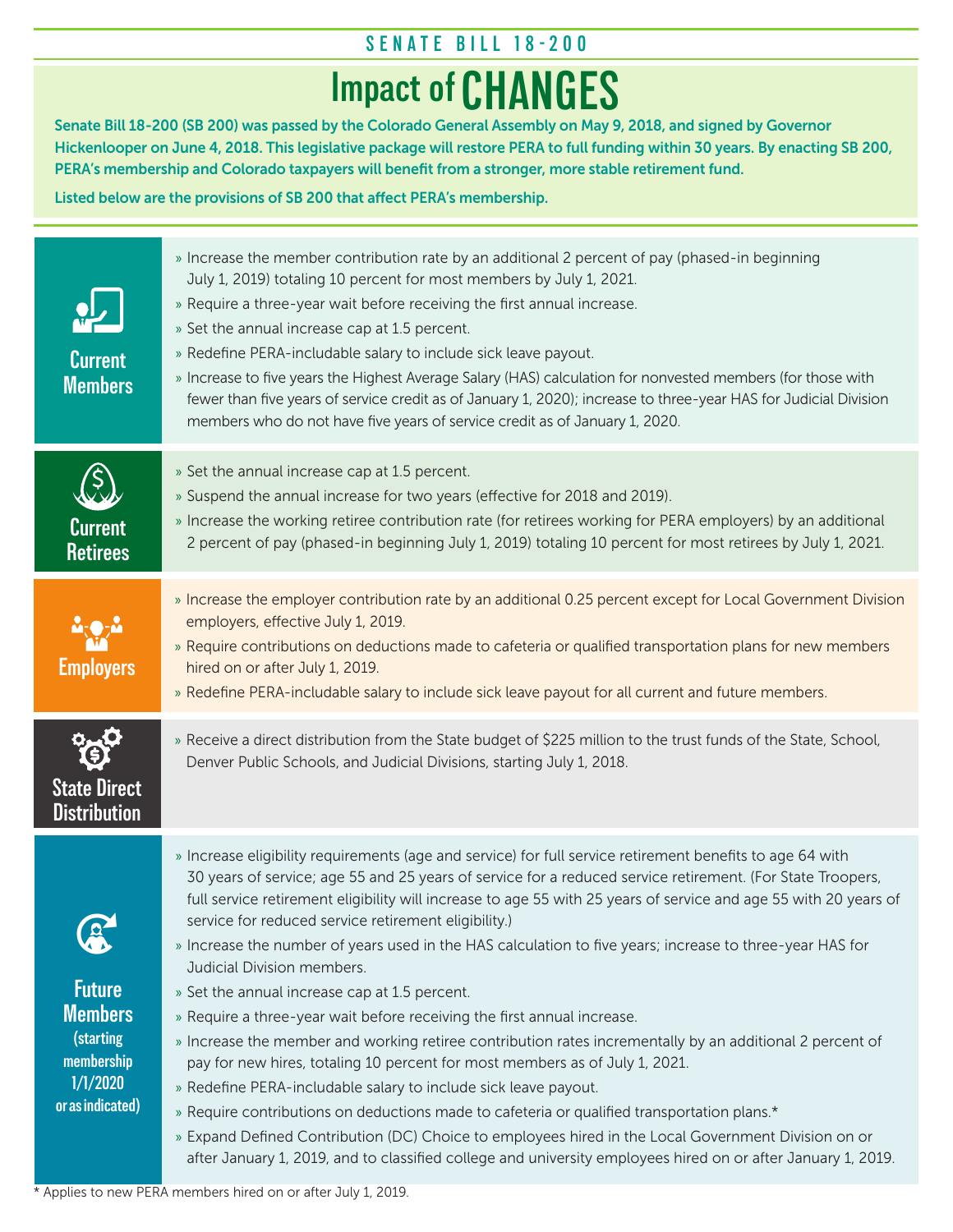## **SENATE BILL 18-200**

# **Impact of CHANGES**

Senate Bill 18-200 (SB 200) was passed by the Colorado General Assembly on May 9, 2018, and signed by Governor Hickenlooper on June 4, 2018. This legislative package will restore PERA to full funding within 30 years. By enacting SB 200, PERA's membership and Colorado taxpayers will benefit from a stronger, more stable retirement fund.

Listed below are the provisions of SB 200 that affect PERA's membership.

| <b>Current</b><br><b>Members</b>                                                                               | » Increase the member contribution rate by an additional 2 percent of pay (phased-in beginning<br>July 1, 2019) totaling 10 percent for most members by July 1, 2021.<br>» Require a three-year wait before receiving the first annual increase.<br>» Set the annual increase cap at 1.5 percent.<br>» Redefine PERA-includable salary to include sick leave payout.<br>» Increase to five years the Highest Average Salary (HAS) calculation for nonvested members (for those with<br>fewer than five years of service credit as of January 1, 2020); increase to three-year HAS for Judicial Division<br>members who do not have five years of service credit as of January 1, 2020.                                                                                                                                                                                                                                                                                                                                                                                                                                                                                                                                                                        |
|----------------------------------------------------------------------------------------------------------------|---------------------------------------------------------------------------------------------------------------------------------------------------------------------------------------------------------------------------------------------------------------------------------------------------------------------------------------------------------------------------------------------------------------------------------------------------------------------------------------------------------------------------------------------------------------------------------------------------------------------------------------------------------------------------------------------------------------------------------------------------------------------------------------------------------------------------------------------------------------------------------------------------------------------------------------------------------------------------------------------------------------------------------------------------------------------------------------------------------------------------------------------------------------------------------------------------------------------------------------------------------------|
| <b>Current</b><br><b>Retirees</b>                                                                              | » Set the annual increase cap at 1.5 percent.<br>» Suspend the annual increase for two years (effective for 2018 and 2019).<br>» Increase the working retiree contribution rate (for retirees working for PERA employers) by an additional<br>2 percent of pay (phased-in beginning July 1, 2019) totaling 10 percent for most retirees by July 1, 2021.                                                                                                                                                                                                                                                                                                                                                                                                                                                                                                                                                                                                                                                                                                                                                                                                                                                                                                      |
| <b>Employers</b>                                                                                               | » Increase the employer contribution rate by an additional 0.25 percent except for Local Government Division<br>employers, effective July 1, 2019.<br>» Require contributions on deductions made to cafeteria or qualified transportation plans for new members<br>hired on or after July 1, 2019.<br>» Redefine PERA-includable salary to include sick leave payout for all current and future members.                                                                                                                                                                                                                                                                                                                                                                                                                                                                                                                                                                                                                                                                                                                                                                                                                                                      |
| <b>State Direct</b><br><b>Distribution</b>                                                                     | » Receive a direct distribution from the State budget of \$225 million to the trust funds of the State, School,<br>Denver Public Schools, and Judicial Divisions, starting July 1, 2018.                                                                                                                                                                                                                                                                                                                                                                                                                                                                                                                                                                                                                                                                                                                                                                                                                                                                                                                                                                                                                                                                      |
| $\ddot{\bullet}$<br><b>Future</b><br><b>Members</b><br>(starting<br>membership<br>1/1/2020<br>or as indicated) | » Increase eligibility requirements (age and service) for full service retirement benefits to age 64 with<br>30 years of service; age 55 and 25 years of service for a reduced service retirement. (For State Troopers,<br>full service retirement eligibility will increase to age 55 with 25 years of service and age 55 with 20 years of<br>service for reduced service retirement eligibility.)<br>» Increase the number of years used in the HAS calculation to five years; increase to three-year HAS for<br>Judicial Division members.<br>» Set the annual increase cap at 1.5 percent.<br>» Require a three-year wait before receiving the first annual increase.<br>» Increase the member and working retiree contribution rates incrementally by an additional 2 percent of<br>pay for new hires, totaling 10 percent for most members as of July 1, 2021.<br>» Redefine PERA-includable salary to include sick leave payout.<br>» Require contributions on deductions made to cafeteria or qualified transportation plans.*<br>» Expand Defined Contribution (DC) Choice to employees hired in the Local Government Division on or<br>after January 1, 2019, and to classified college and university employees hired on or after January 1, 2019. |

\* Applies to new PERA members hired on or after July 1, 2019.